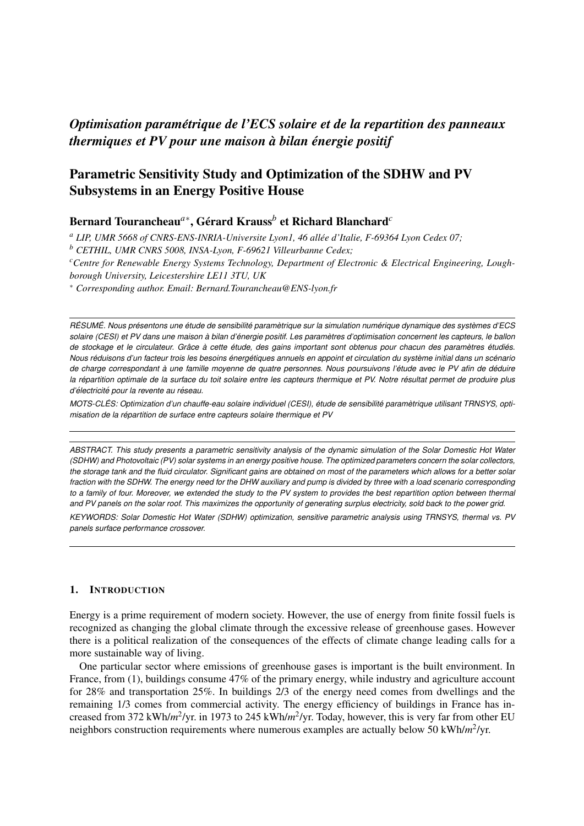# *Optimisation parametrique de l'ECS solaire et de la repartition des panneaux ´ thermiques et PV pour une maison a bilan ` energie positif ´*

# Parametric Sensitivity Study and Optimization of the SDHW and PV Subsystems in an Energy Positive House

## Bernard Tourancheau<sup>a∗</sup>, Gérard Krauss<sup>b</sup> et Richard Blanchard<sup>a</sup>

*<sup>a</sup> LIP, UMR 5668 of CNRS-ENS-INRIA-Universite Lyon1, 46 allee d'Italie, F-69364 Lyon Cedex 07; ´*

*<sup>b</sup> CETHIL, UMR CNRS 5008, INSA-Lyon, F-69621 Villeurbanne Cedex;*

*<sup>c</sup>Centre for Renewable Energy Systems Technology, Department of Electronic & Electrical Engineering, Lough-*

*borough University, Leicestershire LE11 3TU, UK*

<sup>∗</sup> *Corresponding author. Email: Bernard.Tourancheau@ENS-lyon.fr*

RÉSUMÉ. Nous présentons une étude de sensibilité paramètrique sur la simulation numérique dynamique des systèmes d'ECS solaire (CESI) et PV dans une maison à bilan d'énergie positif. Les paramètres d'optimisation concernent les capteurs, le ballon *de stockage et le circulateur. Grace ˆ a cette ` etude, des gains important sont obtenus pour chacun des param ´ etres ` etudi ´ es. ´ Nous reduisons d'un facteur trois les besoins ´ energ ´ etiques annuels en appoint et circulation du syst ´ eme initial dans un sc ` enario ´ de charge correspondant a une famille moyenne de quatre personnes. Nous poursuivons l' ` etude avec le PV afin de d ´ eduire ´ la repartition optimale de la surface du toit solaire entre les capteurs thermique et PV. Notre r ´ esultat permet de produire plus ´ d'electricit ´ e pour la revente au r ´ eseau. ´*

*MOTS-CLES: Optimization d'un chauffe-eau solaire individuel (CESI), ´ etude de sensibilit ´ e param ´ etrique utilisant TRNSYS, opti- ` misation de la repartition de surface entre capteurs solaire thermique et PV ´*

*ABSTRACT. This study presents a parametric sensitivity analysis of the dynamic simulation of the Solar Domestic Hot Water (SDHW) and Photovoltaic (PV) solar systems in an energy positive house. The optimized parameters concern the solar collectors, the storage tank and the fluid circulator. Significant gains are obtained on most of the parameters which allows for a better solar fraction with the SDHW. The energy need for the DHW auxiliary and pump is divided by three with a load scenario corresponding to a family of four. Moreover, we extended the study to the PV system to provides the best repartition option between thermal and PV panels on the solar roof. This maximizes the opportunity of generating surplus electricity, sold back to the power grid.*

*KEYWORDS: Solar Domestic Hot Water (SDHW) optimization, sensitive parametric analysis using TRNSYS, thermal vs. PV panels surface performance crossover.*

### 1. INTRODUCTION

Energy is a prime requirement of modern society. However, the use of energy from finite fossil fuels is recognized as changing the global climate through the excessive release of greenhouse gases. However there is a political realization of the consequences of the effects of climate change leading calls for a more sustainable way of living.

One particular sector where emissions of greenhouse gases is important is the built environment. In France, from (1), buildings consume 47% of the primary energy, while industry and agriculture account for 28% and transportation 25%. In buildings 2/3 of the energy need comes from dwellings and the remaining 1/3 comes from commercial activity. The energy efficiency of buildings in France has increased from 372 kWh/*m*<sup>2</sup>/yr. in 1973 to 245 kWh/*m*<sup>2</sup>/yr. Today, however, this is very far from other EU neighbors construction requirements where numerous examples are actually below 50 kWh/m<sup>2</sup>/yr.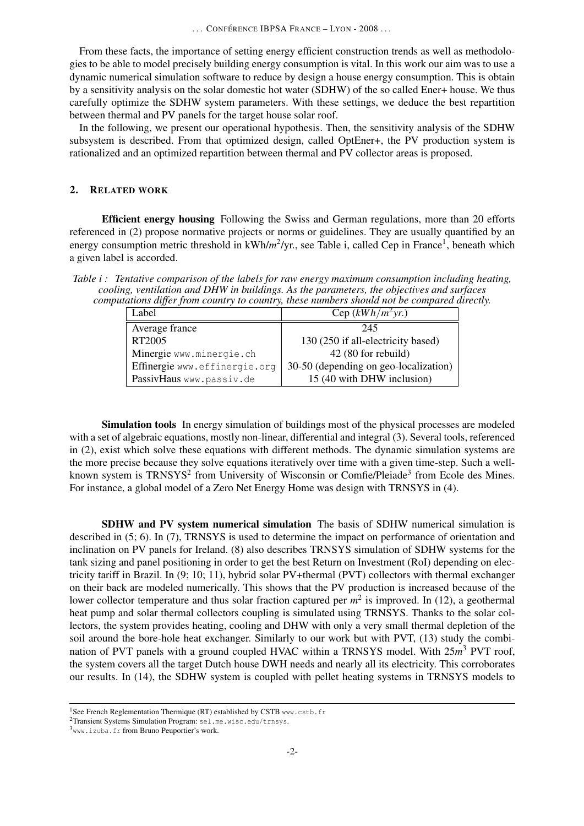From these facts, the importance of setting energy efficient construction trends as well as methodologies to be able to model precisely building energy consumption is vital. In this work our aim was to use a dynamic numerical simulation software to reduce by design a house energy consumption. This is obtain by a sensitivity analysis on the solar domestic hot water (SDHW) of the so called Ener+ house. We thus carefully optimize the SDHW system parameters. With these settings, we deduce the best repartition between thermal and PV panels for the target house solar roof.

In the following, we present our operational hypothesis. Then, the sensitivity analysis of the SDHW subsystem is described. From that optimized design, called OptEner+, the PV production system is rationalized and an optimized repartition between thermal and PV collector areas is proposed.

## 2. RELATED WORK

Efficient energy housing Following the Swiss and German regulations, more than 20 efforts referenced in (2) propose normative projects or norms or guidelines. They are usually quantified by an energy consumption metric threshold in kWh/m<sup>2</sup>/yr., see Table i, called Cep in France<sup>1</sup>, beneath which a given label is accorded.

*Table i : Tentative comparison of the labels for raw energy maximum consumption including heating, cooling, ventilation and DHW in buildings. As the parameters, the objectives and surfaces computations differ from country to country, these numbers should not be compared directly.*

| Label                         | Cep $(kWh/m^2yr)$                     |
|-------------------------------|---------------------------------------|
| Average france                | 245                                   |
| RT2005                        | 130 (250 if all-electricity based)    |
| Minergie www.minergie.ch      | 42 (80 for rebuild)                   |
| Effinergie www.effinergie.org | 30-50 (depending on geo-localization) |
| PassivHaus www.passiv.de      | 15 (40 with DHW inclusion)            |

Simulation tools In energy simulation of buildings most of the physical processes are modeled with a set of algebraic equations, mostly non-linear, differential and integral (3). Several tools, referenced in (2), exist which solve these equations with different methods. The dynamic simulation systems are the more precise because they solve equations iteratively over time with a given time-step. Such a wellknown system is TRNSYS<sup>2</sup> from University of Wisconsin or Comfie/Pleiade<sup>3</sup> from Ecole des Mines. For instance, a global model of a Zero Net Energy Home was design with TRNSYS in (4).

SDHW and PV system numerical simulation The basis of SDHW numerical simulation is described in (5; 6). In (7), TRNSYS is used to determine the impact on performance of orientation and inclination on PV panels for Ireland. (8) also describes TRNSYS simulation of SDHW systems for the tank sizing and panel positioning in order to get the best Return on Investment (RoI) depending on electricity tariff in Brazil. In (9; 10; 11), hybrid solar PV+thermal (PVT) collectors with thermal exchanger on their back are modeled numerically. This shows that the PV production is increased because of the lower collector temperature and thus solar fraction captured per  $m^2$  is improved. In (12), a geothermal heat pump and solar thermal collectors coupling is simulated using TRNSYS. Thanks to the solar collectors, the system provides heating, cooling and DHW with only a very small thermal depletion of the soil around the bore-hole heat exchanger. Similarly to our work but with PVT, (13) study the combination of PVT panels with a ground coupled HVAC within a TRNSYS model. With 25m<sup>3</sup> PVT roof, the system covers all the target Dutch house DWH needs and nearly all its electricity. This corroborates our results. In (14), the SDHW system is coupled with pellet heating systems in TRNSYS models to

<sup>&</sup>lt;sup>1</sup>See French Reglementation Thermique (RT) established by CSTB www.cstb.fr

<sup>2</sup>Transient Systems Simulation Program: sel.me.wisc.edu/trnsys.

<sup>3</sup>www.izuba.fr from Bruno Peuportier's work.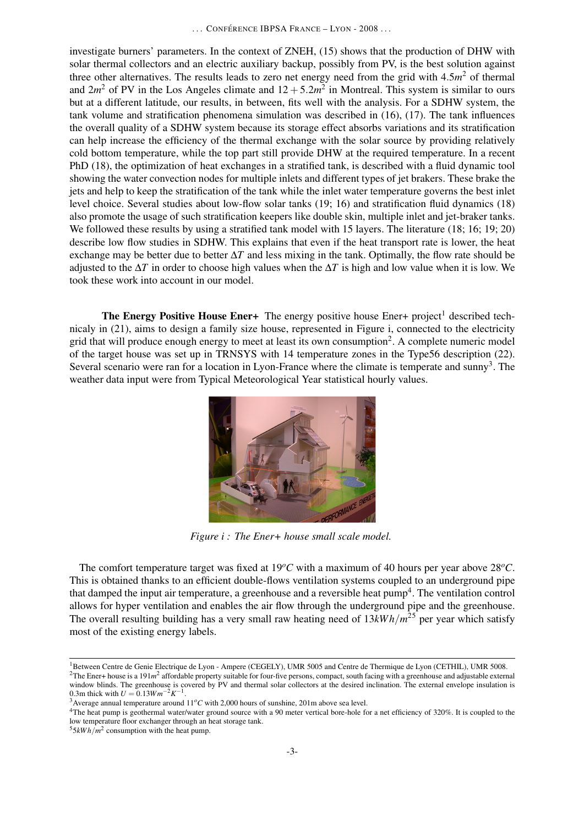investigate burners' parameters. In the context of ZNEH, (15) shows that the production of DHW with solar thermal collectors and an electric auxiliary backup, possibly from PV, is the best solution against three other alternatives. The results leads to zero net energy need from the grid with  $4.5m<sup>2</sup>$  of thermal and  $2m^2$  of PV in the Los Angeles climate and  $12 + 5.2m^2$  in Montreal. This system is similar to ours but at a different latitude, our results, in between, fits well with the analysis. For a SDHW system, the tank volume and stratification phenomena simulation was described in (16), (17). The tank influences the overall quality of a SDHW system because its storage effect absorbs variations and its stratification can help increase the efficiency of the thermal exchange with the solar source by providing relatively cold bottom temperature, while the top part still provide DHW at the required temperature. In a recent PhD (18), the optimization of heat exchanges in a stratified tank, is described with a fluid dynamic tool showing the water convection nodes for multiple inlets and different types of jet brakers. These brake the jets and help to keep the stratification of the tank while the inlet water temperature governs the best inlet level choice. Several studies about low-flow solar tanks (19; 16) and stratification fluid dynamics (18) also promote the usage of such stratification keepers like double skin, multiple inlet and jet-braker tanks. We followed these results by using a stratified tank model with 15 layers. The literature (18; 16; 19; 20) describe low flow studies in SDHW. This explains that even if the heat transport rate is lower, the heat exchange may be better due to better ∆*T* and less mixing in the tank. Optimally, the flow rate should be adjusted to the  $\Delta T$  in order to choose high values when the  $\Delta T$  is high and low value when it is low. We took these work into account in our model.

The Energy Positive House Ener+ The energy positive house Ener+ project<sup>1</sup> described technicaly in (21), aims to design a family size house, represented in Figure i, connected to the electricity grid that will produce enough energy to meet at least its own consumption<sup>2</sup>. A complete numeric model of the target house was set up in TRNSYS with 14 temperature zones in the Type56 description (22). Several scenario were ran for a location in Lyon-France where the climate is temperate and sunny<sup>3</sup>. The weather data input were from Typical Meteorological Year statistical hourly values.



*Figure i : The Ener+ house small scale model.*

The comfort temperature target was fixed at  $19^{\circ}$ C with a maximum of 40 hours per year above  $28^{\circ}$ C. This is obtained thanks to an efficient double-flows ventilation systems coupled to an underground pipe that damped the input air temperature, a greenhouse and a reversible heat  $\text{pump}^4$ . The ventilation control allows for hyper ventilation and enables the air flow through the underground pipe and the greenhouse. The overall resulting building has a very small raw heating need of 13*kW h*/*m* <sup>25</sup> per year which satisfy most of the existing energy labels.

<sup>&</sup>lt;sup>1</sup>Between Centre de Genie Electrique de Lyon - Ampere (CEGELY), UMR 5005 and Centre de Thermique de Lyon (CETHIL), UMR 5008. <sup>2</sup>The Ener+ house is a 191 $m<sup>2</sup>$  affordable property suitable for four-five persons, compact, south facing with a greenhouse and adjustable external window blinds. The greenhouse is covered by PV and thermal solar collectors at the desired inclination. The external envelope insulation is 0.3m thick with  $U = 0.13Wm^{-2}K^{-1}$ .

<sup>&</sup>lt;sup>3</sup> Average annual temperature around  $11^{\circ}$ *C* with 2,000 hours of sunshine, 201m above sea level.

<sup>&</sup>lt;sup>4</sup>The heat pump is geothermal water/water ground source with a 90 meter vertical bore-hole for a net efficiency of 320%. It is coupled to the low temperature floor exchanger through an heat storage tank.

 $55kWh/m^2$  consumption with the heat pump.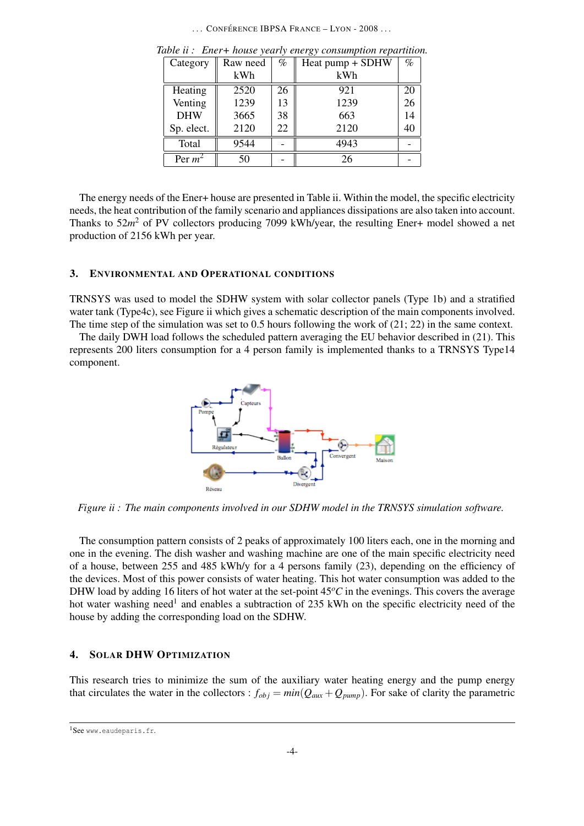... CONFÉRENCE IBPSA FRANCE – LYON - 2008 ...

| Category   | Raw need | $\%$ | Heat pump + SDHW | $\%$ |
|------------|----------|------|------------------|------|
|            | kWh      |      | kWh              |      |
| Heating    | 2520     | 26   | 921              | 20   |
| Venting    | 1239     | 13   | 1239             | 26   |
| <b>DHW</b> | 3665     | 38   | 663              | 14   |
| Sp. elect. | 2120     | 22   | 2120             | 40   |
| Total      | 9544     |      | 4943             |      |
| Per $m^2$  | 50       |      | 26               |      |

*Table ii : Ener+ house yearly energy consumption repartition.*

The energy needs of the Ener+ house are presented in Table ii. Within the model, the specific electricity needs, the heat contribution of the family scenario and appliances dissipations are also taken into account. Thanks to 52m<sup>2</sup> of PV collectors producing 7099 kWh/year, the resulting Ener+ model showed a net production of 2156 kWh per year.

### 3. ENVIRONMENTAL AND OPERATIONAL CONDITIONS

TRNSYS was used to model the SDHW system with solar collector panels (Type 1b) and a stratified water tank (Type4c), see Figure ii which gives a schematic description of the main components involved. The time step of the simulation was set to 0.5 hours following the work of  $(21; 22)$  in the same context.

The daily DWH load follows the scheduled pattern averaging the EU behavior described in (21). This represents 200 liters consumption for a 4 person family is implemented thanks to a TRNSYS Type14 component.



*Figure ii : The main components involved in our SDHW model in the TRNSYS simulation software.*

The consumption pattern consists of 2 peaks of approximately 100 liters each, one in the morning and one in the evening. The dish washer and washing machine are one of the main specific electricity need of a house, between 255 and 485 kWh/y for a 4 persons family (23), depending on the efficiency of the devices. Most of this power consists of water heating. This hot water consumption was added to the DHW load by adding 16 liters of hot water at the set-point  $45^{\circ}$ C in the evenings. This covers the average hot water washing need<sup>1</sup> and enables a subtraction of 235 kWh on the specific electricity need of the house by adding the corresponding load on the SDHW.

## 4. SOLAR DHW OPTIMIZATION

This research tries to minimize the sum of the auxiliary water heating energy and the pump energy that circulates the water in the collectors :  $f_{obj} = min(Q_{aux} + Q_{pump})$ . For sake of clarity the parametric

<sup>1</sup>See www.eaudeparis.fr.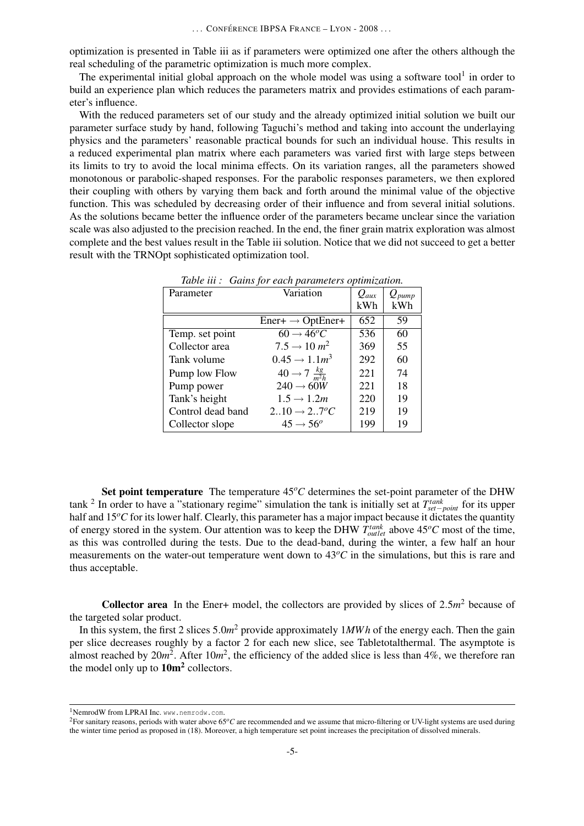optimization is presented in Table iii as if parameters were optimized one after the others although the real scheduling of the parametric optimization is much more complex.

The experimental initial global approach on the whole model was using a software tool $<sup>1</sup>$  in order to</sup> build an experience plan which reduces the parameters matrix and provides estimations of each parameter's influence.

With the reduced parameters set of our study and the already optimized initial solution we built our parameter surface study by hand, following Taguchi's method and taking into account the underlaying physics and the parameters' reasonable practical bounds for such an individual house. This results in a reduced experimental plan matrix where each parameters was varied first with large steps between its limits to try to avoid the local minima effects. On its variation ranges, all the parameters showed monotonous or parabolic-shaped responses. For the parabolic responses parameters, we then explored their coupling with others by varying them back and forth around the minimal value of the objective function. This was scheduled by decreasing order of their influence and from several initial solutions. As the solutions became better the influence order of the parameters became unclear since the variation scale was also adjusted to the precision reached. In the end, the finer grain matrix exploration was almost complete and the best values result in the Table iii solution. Notice that we did not succeed to get a better result with the TRNOpt sophisticated optimization tool.

| Table in . - Gains for cach parameters optimization. |                                    |           |            |  |
|------------------------------------------------------|------------------------------------|-----------|------------|--|
| Parameter                                            | Variation                          | $Q_{aux}$ | $Q_{pump}$ |  |
|                                                      |                                    | kWh       | kWh        |  |
|                                                      | $Ener + \rightarrow OptEner +$     | 652       | 59         |  |
| Temp. set point                                      | $60 \rightarrow 46^{\circ}C$       | 536       | 60         |  |
| Collector area                                       | $7.5 \rightarrow 10 \, m^2$        | 369       | 55         |  |
| Tank volume                                          | $0.45 \rightarrow 1.1 m^3$         | 292       | 60         |  |
| Pump low Flow                                        | $40 \rightarrow 7 \frac{kg}{m^2h}$ | 221       | 74         |  |
| Pump power                                           | $240 \rightarrow 60W$              | 221       | 18         |  |
| Tank's height                                        | $1.5 \rightarrow 1.2m$             | 220       | 19         |  |
| Control dead band                                    | $210 \rightarrow 27^{\circ}C$      | 219       | 19         |  |
| Collector slope                                      | $45 \rightarrow 56^{\circ}$        | 199       | 19         |  |

*Table iii : Gains for each parameters optimization.*

Set point temperature The temperature  $45^{\circ}$ C determines the set-point parameter of the DHW tank <sup>2</sup> In order to have a "stationary regime" simulation the tank is initially set at *T*<sup>tank</sup><sub>set−point</sub> for its upper half and 15°C for its lower half. Clearly, this parameter has a major impact because it dictates the quantity of energy stored in the system. Our attention was to keep the DHW  $T_{outlet}^{tank}$  above  $45^{\circ}C$  most of the time, as this was controlled during the tests. Due to the dead-band, during the winter, a few half an hour measurements on the water-out temperature went down to 43<sup>o</sup>*C* in the simulations, but this is rare and thus acceptable.

**Collector area** In the Ener+ model, the collectors are provided by slices of  $2.5m^2$  because of the targeted solar product.

In this system, the first 2 slices 5.0*m*<sup>2</sup> provide approximately 1*MWh* of the energy each. Then the gain per slice decreases roughly by a factor 2 for each new slice, see Tabletotalthermal. The asymptote is almost reached by  $20m^2$ . After  $10m^2$ , the efficiency of the added slice is less than 4%, we therefore ran the model only up to  $10m^2$  collectors.

<sup>1</sup>NemrodW from LPRAI Inc. www.nemrodw.com.

<sup>&</sup>lt;sup>2</sup>For sanitary reasons, periods with water above 65<sup>o</sup>C are recommended and we assume that micro-filtering or UV-light systems are used during the winter time period as proposed in (18). Moreover, a high temperature set point increases the precipitation of dissolved minerals.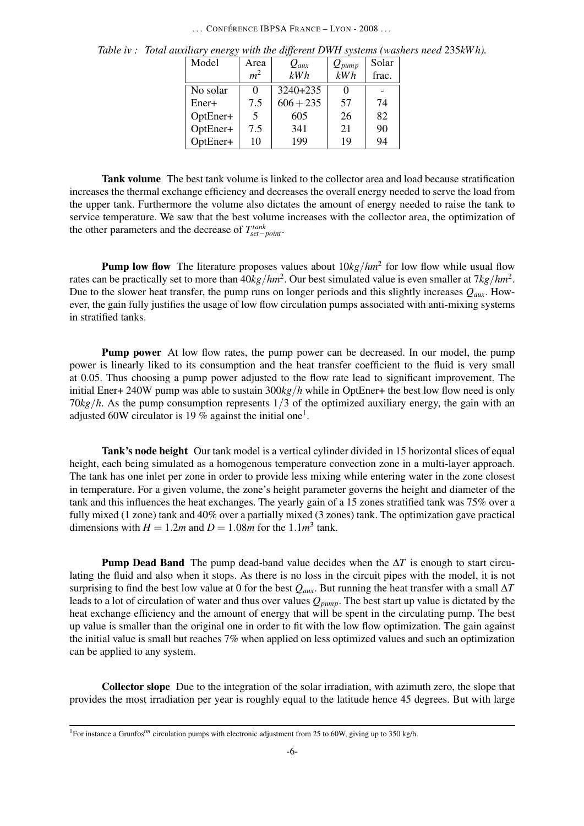### ... CONFÉRENCE IBPSA FRANCE – LYON - 2008 ...

| Model    | Area           | $Q_{aux}$   | $Q_{pump}$ | Solar |
|----------|----------------|-------------|------------|-------|
|          | m <sup>2</sup> | kWh         | kWh        | frac. |
| No solar | 0              | 3240+235    |            |       |
| Ener+    | 7.5            | $606 + 235$ | 57         | 74    |
| OptEner+ | 5              | 605         | 26         | 82    |
| OptEner+ | 7.5            | 341         | 21         | 90    |
| OptEner+ | 10             | 199         | 19         | 94    |

*Table iv : Total auxiliary energy with the different DWH systems (washers need* 235*kW h).*

Tank volume The best tank volume is linked to the collector area and load because stratification increases the thermal exchange efficiency and decreases the overall energy needed to serve the load from the upper tank. Furthermore the volume also dictates the amount of energy needed to raise the tank to service temperature. We saw that the best volume increases with the collector area, the optimization of the other parameters and the decrease of  $T_{set-point}^{tank}$ .

**Pump low flow** The literature proposes values about  $10 \frac{kg}{hm^2}$  for low flow while usual flow rates can be practically set to more than  $40kg/hm^2$ . Our best simulated value is even smaller at  $7kg/hm^2$ . Due to the slower heat transfer, the pump runs on longer periods and this slightly increases *Qaux*. However, the gain fully justifies the usage of low flow circulation pumps associated with anti-mixing systems in stratified tanks.

Pump power At low flow rates, the pump power can be decreased. In our model, the pump power is linearly liked to its consumption and the heat transfer coefficient to the fluid is very small at 0.05. Thus choosing a pump power adjusted to the flow rate lead to significant improvement. The initial Ener+ 240W pump was able to sustain 300*kg*/*h* while in OptEner+ the best low flow need is only 70*kg*/*h*. As the pump consumption represents 1/3 of the optimized auxiliary energy, the gain with an adjusted 60W circulator is 19 % against the initial one<sup>1</sup>.

Tank's node height Our tank model is a vertical cylinder divided in 15 horizontal slices of equal height, each being simulated as a homogenous temperature convection zone in a multi-layer approach. The tank has one inlet per zone in order to provide less mixing while entering water in the zone closest in temperature. For a given volume, the zone's height parameter governs the height and diameter of the tank and this influences the heat exchanges. The yearly gain of a 15 zones stratified tank was 75% over a fully mixed (1 zone) tank and 40% over a partially mixed (3 zones) tank. The optimization gave practical dimensions with  $H = 1.2m$  and  $D = 1.08m$  for the 1.1 $m<sup>3</sup>$  tank.

Pump Dead Band The pump dead-band value decides when the ∆*T* is enough to start circulating the fluid and also when it stops. As there is no loss in the circuit pipes with the model, it is not surprising to find the best low value at 0 for the best  $Q_{\text{aux}}$ . But running the heat transfer with a small  $\Delta T$ leads to a lot of circulation of water and thus over values *Qpump*. The best start up value is dictated by the heat exchange efficiency and the amount of energy that will be spent in the circulating pump. The best up value is smaller than the original one in order to fit with the low flow optimization. The gain against the initial value is small but reaches 7% when applied on less optimized values and such an optimization can be applied to any system.

Collector slope Due to the integration of the solar irradiation, with azimuth zero, the slope that provides the most irradiation per year is roughly equal to the latitude hence 45 degrees. But with large

<sup>&</sup>lt;sup>1</sup>For instance a Grunfos<sup>tm</sup> circulation pumps with electronic adjustment from 25 to 60W, giving up to 350 kg/h.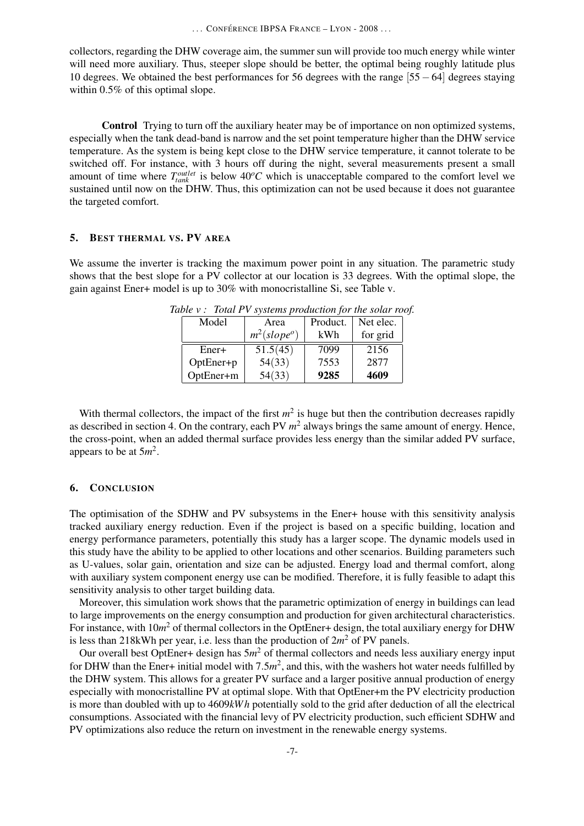collectors, regarding the DHW coverage aim, the summer sun will provide too much energy while winter will need more auxiliary. Thus, steeper slope should be better, the optimal being roughly latitude plus 10 degrees. We obtained the best performances for 56 degrees with the range [55−64] degrees staying within 0.5% of this optimal slope.

Control Trying to turn off the auxiliary heater may be of importance on non optimized systems, especially when the tank dead-band is narrow and the set point temperature higher than the DHW service temperature. As the system is being kept close to the DHW service temperature, it cannot tolerate to be switched off. For instance, with 3 hours off during the night, several measurements present a small amount of time where  $T_{\text{tank}}^{\text{outlet}}$  is below  $40^{\circ}C$  which is unacceptable compared to the comfort level we sustained until now on the DHW. Thus, this optimization can not be used because it does not guarantee the targeted comfort.

#### 5. BEST THERMAL VS. PV AREA

We assume the inverter is tracking the maximum power point in any situation. The parametric study shows that the best slope for a PV collector at our location is 33 degrees. With the optimal slope, the gain against Ener+ model is up to 30% with monocristalline Si, see Table v.

| Model     | Area           | Product. | Net elec. |
|-----------|----------------|----------|-----------|
|           | $m^2(slope^o)$ | kWh      | for grid  |
| Ener+     | 51.5(45)       | 7099     | 2156      |
| OptEner+p | 54(33)         | 7553     | 2877      |
| OptEner+m | 54(33)         | 9285     | 4609      |

*Table v : Total PV systems production for the solar roof.*

With thermal collectors, the impact of the first  $m^2$  is huge but then the contribution decreases rapidly as described in section 4. On the contrary, each PV  $m<sup>2</sup>$  always brings the same amount of energy. Hence, the cross-point, when an added thermal surface provides less energy than the similar added PV surface, appears to be at 5*m* 2 .

### 6. CONCLUSION

The optimisation of the SDHW and PV subsystems in the Ener+ house with this sensitivity analysis tracked auxiliary energy reduction. Even if the project is based on a specific building, location and energy performance parameters, potentially this study has a larger scope. The dynamic models used in this study have the ability to be applied to other locations and other scenarios. Building parameters such as U-values, solar gain, orientation and size can be adjusted. Energy load and thermal comfort, along with auxiliary system component energy use can be modified. Therefore, it is fully feasible to adapt this sensitivity analysis to other target building data.

Moreover, this simulation work shows that the parametric optimization of energy in buildings can lead to large improvements on the energy consumption and production for given architectural characteristics. For instance, with 10*m* <sup>2</sup> of thermal collectors in the OptEner+ design, the total auxiliary energy for DHW is less than 218kWh per year, i.e. less than the production of  $2m^2$  of PV panels.

Our overall best OptEner+ design has 5*m* <sup>2</sup> of thermal collectors and needs less auxiliary energy input for DHW than the Ener+ initial model with  $7.5m^2$ , and this, with the washers hot water needs fulfilled by the DHW system. This allows for a greater PV surface and a larger positive annual production of energy especially with monocristalline PV at optimal slope. With that OptEner+m the PV electricity production is more than doubled with up to 4609*kW h* potentially sold to the grid after deduction of all the electrical consumptions. Associated with the financial levy of PV electricity production, such efficient SDHW and PV optimizations also reduce the return on investment in the renewable energy systems.